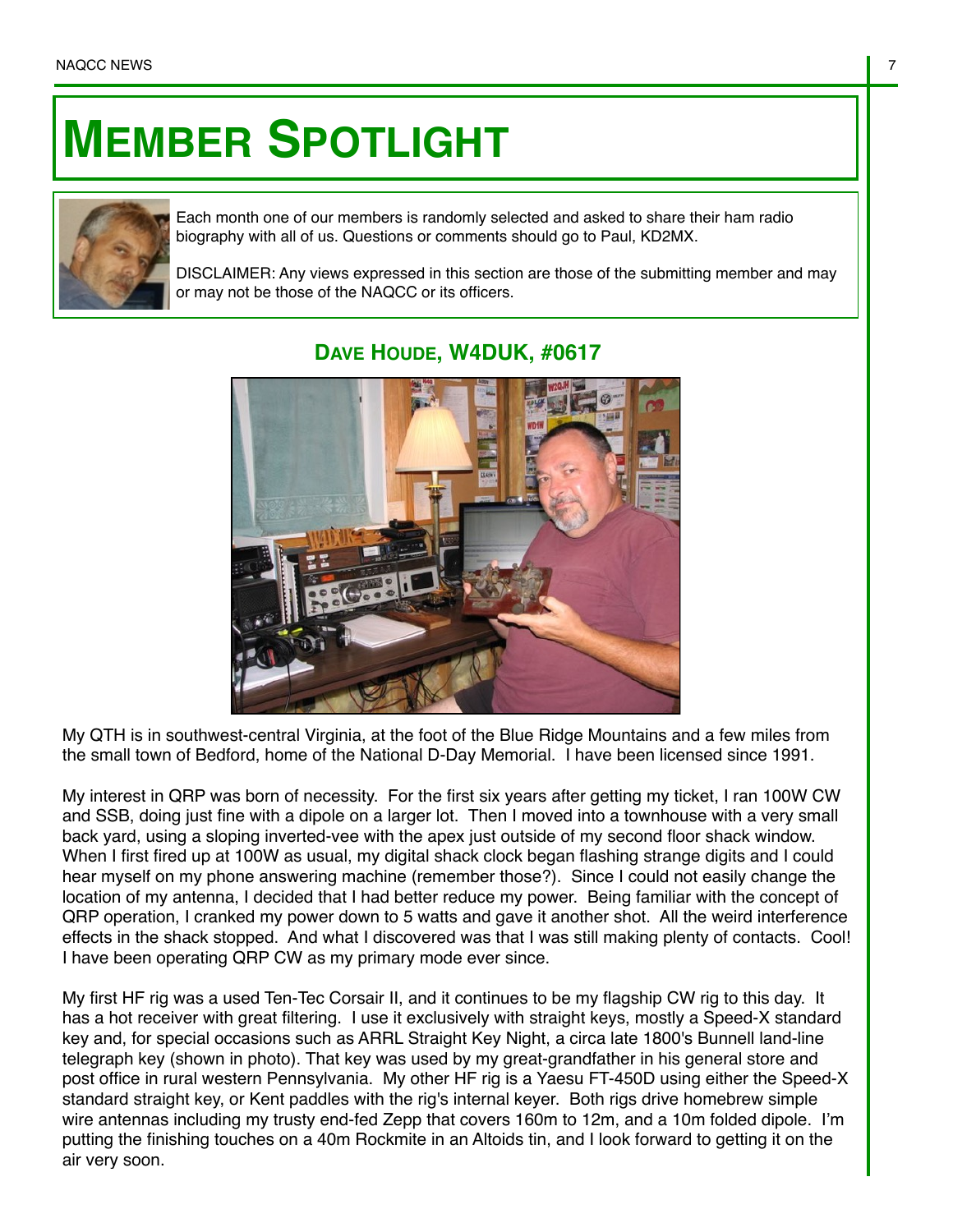## **MEMBER SPOTLIGHT**



Each month one of our members is randomly selected and asked to share their ham radio biography with all of us. Questions or comments should go to Paul, KD2MX.

DISCLAIMER: Any views expressed in this section are those of the submitting member and may or may not be those of the NAQCC or its officers.



## **DAVE HOUDE, W4DUK, #0617**

My QTH is in southwest-central Virginia, at the foot of the Blue Ridge Mountains and a few miles from the small town of Bedford, home of the National D-Day Memorial. I have been licensed since 1991.

My interest in QRP was born of necessity. For the first six years after getting my ticket, I ran 100W CW and SSB, doing just fine with a dipole on a larger lot. Then I moved into a townhouse with a very small back yard, using a sloping inverted-vee with the apex just outside of my second floor shack window. When I first fired up at 100W as usual, my digital shack clock began flashing strange digits and I could hear myself on my phone answering machine (remember those?). Since I could not easily change the location of my antenna, I decided that I had better reduce my power. Being familiar with the concept of QRP operation, I cranked my power down to 5 watts and gave it another shot. All the weird interference effects in the shack stopped. And what I discovered was that I was still making plenty of contacts. Cool! I have been operating QRP CW as my primary mode ever since.

My first HF rig was a used Ten-Tec Corsair II, and it continues to be my flagship CW rig to this day. It has a hot receiver with great filtering. I use it exclusively with straight keys, mostly a Speed-X standard key and, for special occasions such as ARRL Straight Key Night, a circa late 1800's Bunnell land-line telegraph key (shown in photo). That key was used by my great-grandfather in his general store and post office in rural western Pennsylvania. My other HF rig is a Yaesu FT-450D using either the Speed-X standard straight key, or Kent paddles with the rig's internal keyer. Both rigs drive homebrew simple wire antennas including my trusty end-fed Zepp that covers 160m to 12m, and a 10m folded dipole. I'm putting the finishing touches on a 40m Rockmite in an Altoids tin, and I look forward to getting it on the air very soon.